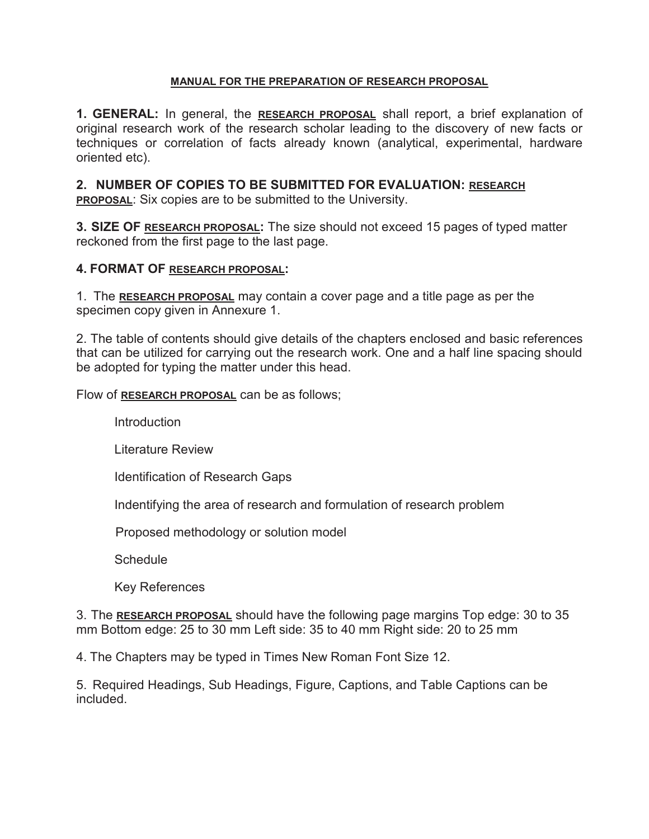#### **MANUAL FOR THE PREPARATION OF RESEARCH PROPOSAL**

**1. GENERAL:** In general, the **RESEARCH PROPOSAL** shall report, a brief explanation of original research work of the research scholar leading to the discovery of new facts or techniques or correlation of facts already known (analytical, experimental, hardware oriented etc).

### **2. NUMBER OF COPIES TO BE SUBMITTED FOR EVALUATION: RESEARCH**

**PROPOSAL:** Six copies are to be submitted to the University.

**3. SIZE OF RESEARCH PROPOSAL:** The size should not exceed 15 pages of typed matter reckoned from the first page to the last page.

#### **4. FORMAT OF RESEARCH PROPOSAL:**

1. The **RESEARCH PROPOSAL** may contain a cover page and a title page as per the specimen copy given in Annexure 1.

2. The table of contents should give details of the chapters enclosed and basic references that can be utilized for carrying out the research work. One and a half line spacing should be adopted for typing the matter under this head.

Flow of **RESEARCH PROPOSAL** can be as follows;

**Introduction** 

Literature Review

Identification of Research Gaps

Indentifying the area of research and formulation of research problem

Proposed methodology or solution model

**Schedule** 

Key References

3. The **RESEARCH PROPOSAL** should have the following page margins Top edge: 30 to 35 mm Bottom edge: 25 to 30 mm Left side: 35 to 40 mm Right side: 20 to 25 mm

4. The Chapters may be typed in Times New Roman Font Size 12.

5. Required Headings, Sub Headings, Figure, Captions, and Table Captions can be included.